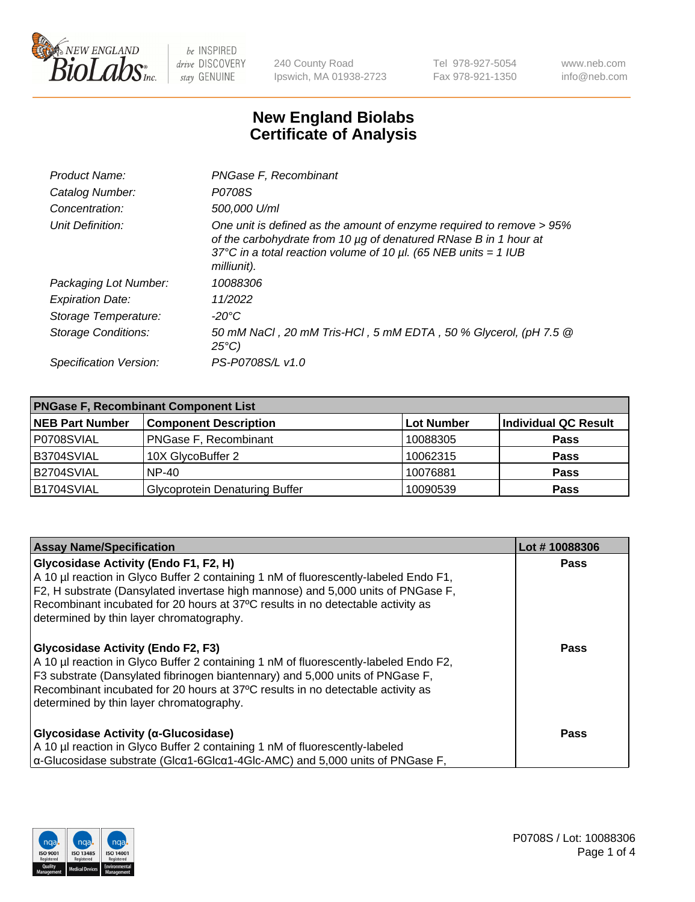

240 County Road Ipswich, MA 01938-2723 Tel 978-927-5054 Fax 978-921-1350 www.neb.com info@neb.com

## **New England Biolabs Certificate of Analysis**

| Product Name:              | PNGase F, Recombinant                                                                                                                                                                                                           |
|----------------------------|---------------------------------------------------------------------------------------------------------------------------------------------------------------------------------------------------------------------------------|
| Catalog Number:            | P0708S                                                                                                                                                                                                                          |
| Concentration:             | 500,000 U/ml                                                                                                                                                                                                                    |
| Unit Definition:           | One unit is defined as the amount of enzyme required to remove > 95%<br>of the carbohydrate from 10 µg of denatured RNase B in 1 hour at<br>37°C in a total reaction volume of 10 $\mu$ l. (65 NEB units = 1 IUB<br>milliunit). |
| Packaging Lot Number:      | 10088306                                                                                                                                                                                                                        |
| <b>Expiration Date:</b>    | 11/2022                                                                                                                                                                                                                         |
| Storage Temperature:       | $-20^{\circ}$ C                                                                                                                                                                                                                 |
| <b>Storage Conditions:</b> | 50 mM NaCl, 20 mM Tris-HCl, 5 mM EDTA, 50 % Glycerol, (pH 7.5 @<br>$25^{\circ}C$                                                                                                                                                |
| Specification Version:     | PS-P0708S/L v1.0                                                                                                                                                                                                                |

| <b>PNGase F, Recombinant Component List</b> |                                       |                   |                             |  |
|---------------------------------------------|---------------------------------------|-------------------|-----------------------------|--|
| <b>NEB Part Number</b>                      | <b>Component Description</b>          | <b>Lot Number</b> | <b>Individual QC Result</b> |  |
| P0708SVIAL                                  | <b>PNGase F, Recombinant</b>          | 10088305          | <b>Pass</b>                 |  |
| B3704SVIAL                                  | 10X GlycoBuffer 2                     | 10062315          | <b>Pass</b>                 |  |
| B2704SVIAL                                  | <b>NP-40</b>                          | 10076881          | <b>Pass</b>                 |  |
| B1704SVIAL                                  | <b>Glycoprotein Denaturing Buffer</b> | 10090539          | <b>Pass</b>                 |  |

| <b>Assay Name/Specification</b>                                                                        | Lot #10088306 |
|--------------------------------------------------------------------------------------------------------|---------------|
| Glycosidase Activity (Endo F1, F2, H)                                                                  | Pass          |
| A 10 µl reaction in Glyco Buffer 2 containing 1 nM of fluorescently-labeled Endo F1,                   |               |
| F2, H substrate (Dansylated invertase high mannose) and 5,000 units of PNGase F,                       |               |
| Recombinant incubated for 20 hours at 37°C results in no detectable activity as                        |               |
| determined by thin layer chromatography.                                                               |               |
| <b>Glycosidase Activity (Endo F2, F3)</b>                                                              | <b>Pass</b>   |
| A 10 µl reaction in Glyco Buffer 2 containing 1 nM of fluorescently-labeled Endo F2,                   |               |
| F3 substrate (Dansylated fibrinogen biantennary) and 5,000 units of PNGase F,                          |               |
| Recombinant incubated for 20 hours at 37°C results in no detectable activity as                        |               |
| determined by thin layer chromatography.                                                               |               |
|                                                                                                        |               |
| Glycosidase Activity (α-Glucosidase)                                                                   | Pass          |
| A 10 µl reaction in Glyco Buffer 2 containing 1 nM of fluorescently-labeled                            |               |
| $\alpha$ -Glucosidase substrate (Glc $\alpha$ 1-6Glc $\alpha$ 1-4Glc-AMC) and 5,000 units of PNGase F, |               |

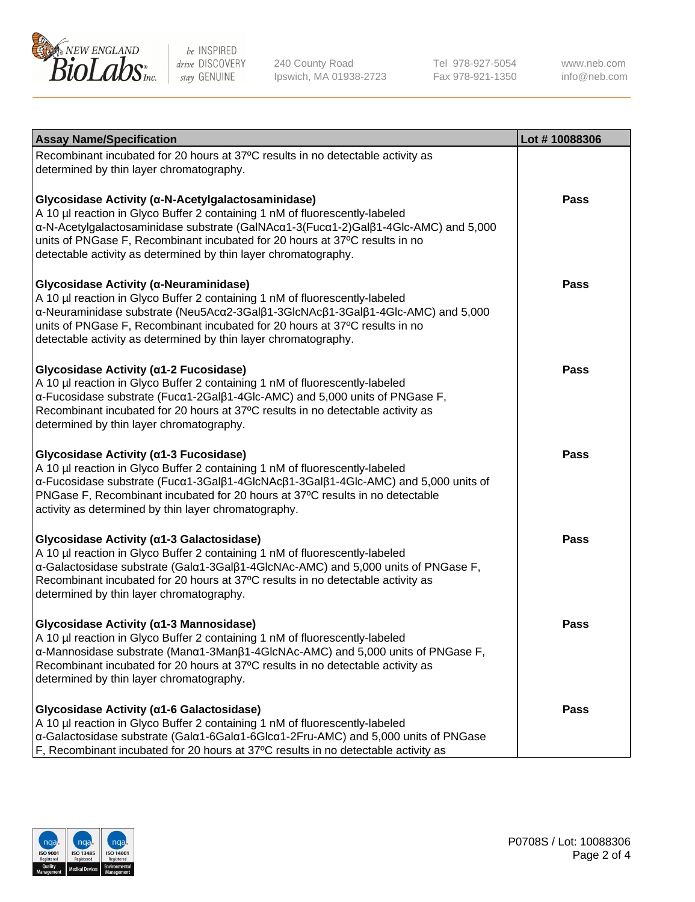

240 County Road Ipswich, MA 01938-2723 Tel 978-927-5054 Fax 978-921-1350

www.neb.com info@neb.com

| <b>Assay Name/Specification</b>                                                                                                                                                                                                                                                                                                                                            | Lot #10088306 |
|----------------------------------------------------------------------------------------------------------------------------------------------------------------------------------------------------------------------------------------------------------------------------------------------------------------------------------------------------------------------------|---------------|
| Recombinant incubated for 20 hours at 37°C results in no detectable activity as<br>determined by thin layer chromatography.                                                                                                                                                                                                                                                |               |
| Glycosidase Activity (α-N-Acetylgalactosaminidase)<br>A 10 µl reaction in Glyco Buffer 2 containing 1 nM of fluorescently-labeled<br>α-N-Acetylgalactosaminidase substrate (GalNAcα1-3(Fucα1-2)Galβ1-4Glc-AMC) and 5,000<br>units of PNGase F, Recombinant incubated for 20 hours at 37°C results in no<br>detectable activity as determined by thin layer chromatography. | Pass          |
| Glycosidase Activity (α-Neuraminidase)<br>A 10 µl reaction in Glyco Buffer 2 containing 1 nM of fluorescently-labeled<br>α-Neuraminidase substrate (Neu5Acα2-3Galβ1-3GlcNAcβ1-3Galβ1-4Glc-AMC) and 5,000<br>units of PNGase F, Recombinant incubated for 20 hours at 37°C results in no<br>detectable activity as determined by thin layer chromatography.                 | <b>Pass</b>   |
| Glycosidase Activity (α1-2 Fucosidase)<br>A 10 µl reaction in Glyco Buffer 2 containing 1 nM of fluorescently-labeled<br>α-Fucosidase substrate (Fucα1-2Galβ1-4Glc-AMC) and 5,000 units of PNGase F,<br>Recombinant incubated for 20 hours at 37°C results in no detectable activity as<br>determined by thin layer chromatography.                                        | <b>Pass</b>   |
| Glycosidase Activity (α1-3 Fucosidase)<br>A 10 µl reaction in Glyco Buffer 2 containing 1 nM of fluorescently-labeled<br>α-Fucosidase substrate (Fucα1-3Galβ1-4GlcNAcβ1-3Galβ1-4Glc-AMC) and 5,000 units of<br>PNGase F, Recombinant incubated for 20 hours at 37°C results in no detectable<br>activity as determined by thin layer chromatography.                       | <b>Pass</b>   |
| Glycosidase Activity (α1-3 Galactosidase)<br>A 10 µl reaction in Glyco Buffer 2 containing 1 nM of fluorescently-labeled<br>α-Galactosidase substrate (Galα1-3Galβ1-4GlcNAc-AMC) and 5,000 units of PNGase F,<br>Recombinant incubated for 20 hours at 37°C results in no detectable activity as<br>determined by thin layer chromatography.                               | <b>Pass</b>   |
| Glycosidase Activity (α1-3 Mannosidase)<br>A 10 µl reaction in Glyco Buffer 2 containing 1 nM of fluorescently-labeled<br>$\alpha$ -Mannosidase substrate (Man $\alpha$ 1-3Man $\beta$ 1-4GlcNAc-AMC) and 5,000 units of PNGase F,<br>Recombinant incubated for 20 hours at 37°C results in no detectable activity as<br>determined by thin layer chromatography.          | Pass          |
| Glycosidase Activity (α1-6 Galactosidase)<br>A 10 µl reaction in Glyco Buffer 2 containing 1 nM of fluorescently-labeled<br>α-Galactosidase substrate (Galα1-6Galα1-6Glcα1-2Fru-AMC) and 5,000 units of PNGase<br>F, Recombinant incubated for 20 hours at 37°C results in no detectable activity as                                                                       | Pass          |

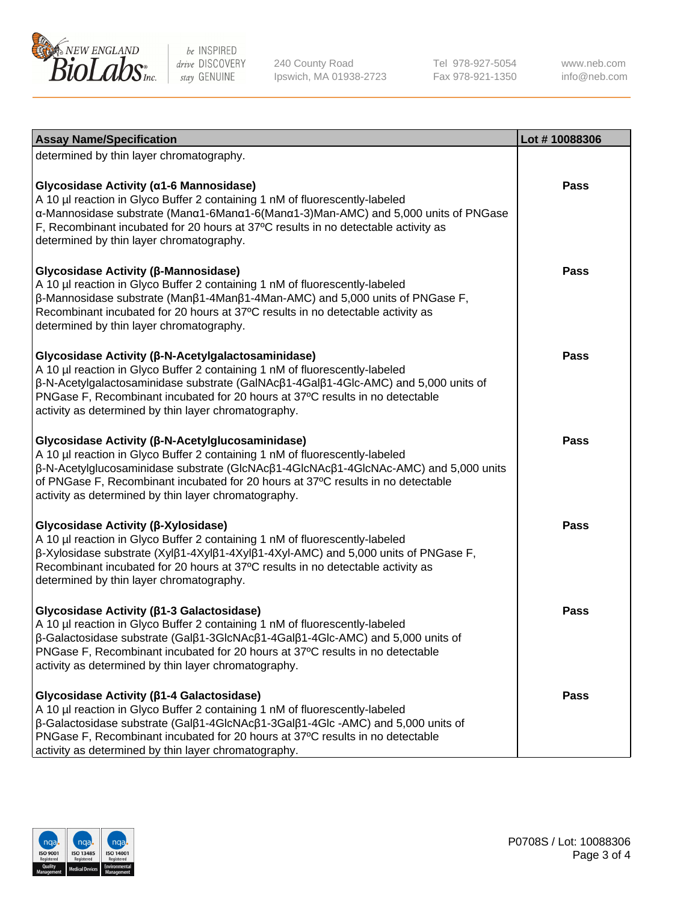

240 County Road Ipswich, MA 01938-2723 Tel 978-927-5054 Fax 978-921-1350

www.neb.com info@neb.com

| <b>Assay Name/Specification</b>                                                                                                                                                                                                                                                                                                                                     | Lot #10088306 |
|---------------------------------------------------------------------------------------------------------------------------------------------------------------------------------------------------------------------------------------------------------------------------------------------------------------------------------------------------------------------|---------------|
| determined by thin layer chromatography.                                                                                                                                                                                                                                                                                                                            |               |
| Glycosidase Activity (α1-6 Mannosidase)<br>A 10 µl reaction in Glyco Buffer 2 containing 1 nM of fluorescently-labeled<br>α-Mannosidase substrate (Manα1-6Manα1-6(Manα1-3)Man-AMC) and 5,000 units of PNGase<br>F, Recombinant incubated for 20 hours at 37°C results in no detectable activity as<br>determined by thin layer chromatography.                      | Pass          |
| Glycosidase Activity (β-Mannosidase)<br>A 10 µl reaction in Glyco Buffer 2 containing 1 nM of fluorescently-labeled<br>$\beta$ -Mannosidase substrate (Man $\beta$ 1-4Man $\beta$ 1-4Man-AMC) and 5,000 units of PNGase F,<br>Recombinant incubated for 20 hours at 37°C results in no detectable activity as<br>determined by thin layer chromatography.           | Pass          |
| Glycosidase Activity (β-N-Acetylgalactosaminidase)<br>A 10 µl reaction in Glyco Buffer 2 containing 1 nM of fluorescently-labeled<br>β-N-Acetylgalactosaminidase substrate (GalNAcβ1-4Galβ1-4Glc-AMC) and 5,000 units of<br>PNGase F, Recombinant incubated for 20 hours at 37°C results in no detectable<br>activity as determined by thin layer chromatography.   | Pass          |
| Glycosidase Activity (β-N-Acetylglucosaminidase)<br>A 10 µl reaction in Glyco Buffer 2 containing 1 nM of fluorescently-labeled<br>β-N-Acetylglucosaminidase substrate (GlcNAcβ1-4GlcNAcβ1-4GlcNAc-AMC) and 5,000 units<br>of PNGase F, Recombinant incubated for 20 hours at 37°C results in no detectable<br>activity as determined by thin layer chromatography. | Pass          |
| Glycosidase Activity (β-Xylosidase)<br>A 10 µl reaction in Glyco Buffer 2 containing 1 nM of fluorescently-labeled<br>β-Xylosidase substrate (Xylβ1-4Xylβ1-4Xylβ1-4Xyl-AMC) and 5,000 units of PNGase F,<br>Recombinant incubated for 20 hours at 37°C results in no detectable activity as<br>determined by thin layer chromatography.                             | <b>Pass</b>   |
| Glycosidase Activity ( $\beta$ 1-3 Galactosidase)<br>A 10 µl reaction in Glyco Buffer 2 containing 1 nM of fluorescently-labeled<br>β-Galactosidase substrate (Galβ1-3GlcNAcβ1-4Galβ1-4Glc-AMC) and 5,000 units of<br>PNGase F, Recombinant incubated for 20 hours at 37°C results in no detectable<br>activity as determined by thin layer chromatography.         | <b>Pass</b>   |
| Glycosidase Activity (β1-4 Galactosidase)<br>A 10 µl reaction in Glyco Buffer 2 containing 1 nM of fluorescently-labeled<br>β-Galactosidase substrate (Galβ1-4GlcNAcβ1-3Galβ1-4Glc -AMC) and 5,000 units of<br>PNGase F, Recombinant incubated for 20 hours at 37°C results in no detectable<br>activity as determined by thin layer chromatography.                | Pass          |